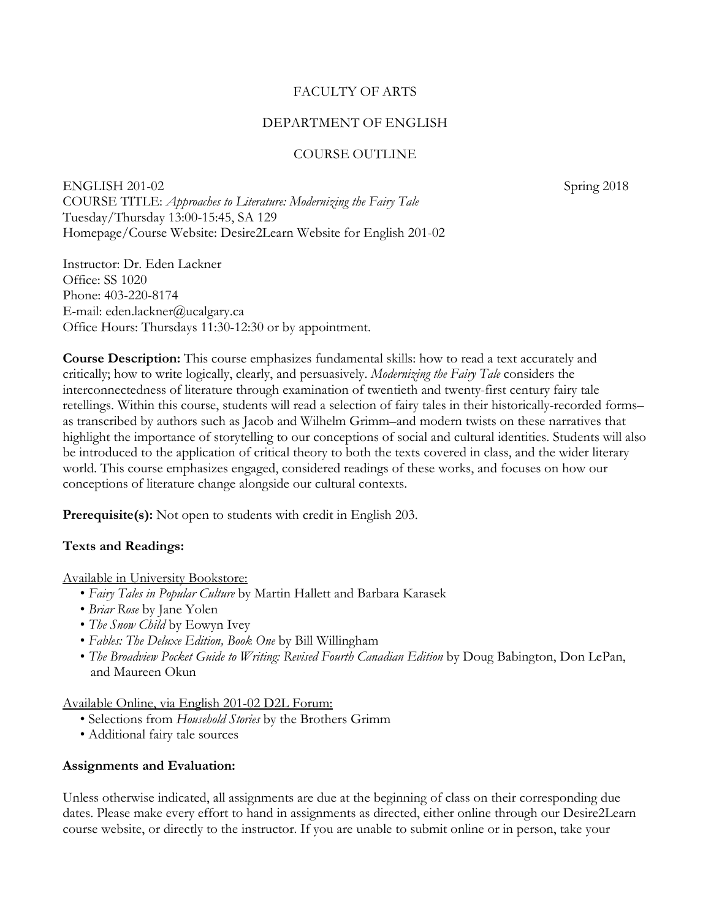### FACULTY OF ARTS

#### DEPARTMENT OF ENGLISH

## COURSE OUTLINE

ENGLISH 201-02 Spring 2018 COURSE TITLE: *Approaches to Literature: Modernizing the Fairy Tale* Tuesday/Thursday 13:00-15:45, SA 129 Homepage/Course Website: Desire2Learn Website for English 201-02

Instructor: Dr. Eden Lackner Office: SS 1020 Phone: 403-220-8174 E-mail: eden.lackner@ucalgary.ca Office Hours: Thursdays 11:30-12:30 or by appointment.

**Course Description:** This course emphasizes fundamental skills: how to read a text accurately and critically; how to write logically, clearly, and persuasively. *Modernizing the Fairy Tale* considers the interconnectedness of literature through examination of twentieth and twenty-first century fairy tale retellings. Within this course, students will read a selection of fairy tales in their historically-recorded forms– as transcribed by authors such as Jacob and Wilhelm Grimm–and modern twists on these narratives that highlight the importance of storytelling to our conceptions of social and cultural identities. Students will also be introduced to the application of critical theory to both the texts covered in class, and the wider literary world. This course emphasizes engaged, considered readings of these works, and focuses on how our conceptions of literature change alongside our cultural contexts.

**Prerequisite(s):** Not open to students with credit in English 203.

#### **Texts and Readings:**

Available in University Bookstore:

- *Fairy Tales in Popular Culture* by Martin Hallett and Barbara Karasek
- *Briar Rose* by Jane Yolen
- *The Snow Child* by Eowyn Ivey
- *Fables: The Deluxe Edition, Book One* by Bill Willingham
- *The Broadview Pocket Guide to Writing: Revised Fourth Canadian Edition* by Doug Babington, Don LePan, and Maureen Okun

Available Online, via English 201-02 D2L Forum:

- Selections from *Household Stories* by the Brothers Grimm
- Additional fairy tale sources

#### **Assignments and Evaluation:**

Unless otherwise indicated, all assignments are due at the beginning of class on their corresponding due dates. Please make every effort to hand in assignments as directed, either online through our Desire2Learn course website, or directly to the instructor. If you are unable to submit online or in person, take your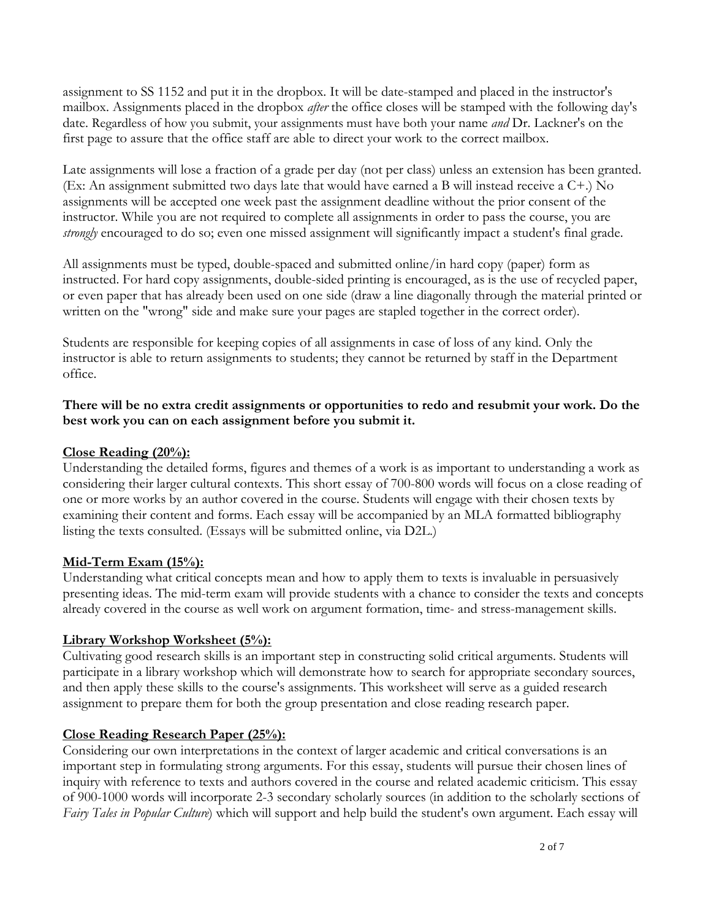assignment to SS 1152 and put it in the dropbox. It will be date-stamped and placed in the instructor's mailbox. Assignments placed in the dropbox *after* the office closes will be stamped with the following day's date. Regardless of how you submit, your assignments must have both your name *and* Dr. Lackner's on the first page to assure that the office staff are able to direct your work to the correct mailbox.

Late assignments will lose a fraction of a grade per day (not per class) unless an extension has been granted. (Ex: An assignment submitted two days late that would have earned a B will instead receive a C+.) No assignments will be accepted one week past the assignment deadline without the prior consent of the instructor. While you are not required to complete all assignments in order to pass the course, you are *strongly* encouraged to do so; even one missed assignment will significantly impact a student's final grade.

All assignments must be typed, double-spaced and submitted online/in hard copy (paper) form as instructed. For hard copy assignments, double-sided printing is encouraged, as is the use of recycled paper, or even paper that has already been used on one side (draw a line diagonally through the material printed or written on the "wrong" side and make sure your pages are stapled together in the correct order).

Students are responsible for keeping copies of all assignments in case of loss of any kind. Only the instructor is able to return assignments to students; they cannot be returned by staff in the Department office.

## **There will be no extra credit assignments or opportunities to redo and resubmit your work. Do the best work you can on each assignment before you submit it.**

## **Close Reading (20%):**

Understanding the detailed forms, figures and themes of a work is as important to understanding a work as considering their larger cultural contexts. This short essay of 700-800 words will focus on a close reading of one or more works by an author covered in the course. Students will engage with their chosen texts by examining their content and forms. Each essay will be accompanied by an MLA formatted bibliography listing the texts consulted. (Essays will be submitted online, via D2L.)

### **Mid-Term Exam (15%):**

Understanding what critical concepts mean and how to apply them to texts is invaluable in persuasively presenting ideas. The mid-term exam will provide students with a chance to consider the texts and concepts already covered in the course as well work on argument formation, time- and stress-management skills.

### **Library Workshop Worksheet (5%):**

Cultivating good research skills is an important step in constructing solid critical arguments. Students will participate in a library workshop which will demonstrate how to search for appropriate secondary sources, and then apply these skills to the course's assignments. This worksheet will serve as a guided research assignment to prepare them for both the group presentation and close reading research paper.

# **Close Reading Research Paper (25%):**

Considering our own interpretations in the context of larger academic and critical conversations is an important step in formulating strong arguments. For this essay, students will pursue their chosen lines of inquiry with reference to texts and authors covered in the course and related academic criticism. This essay of 900-1000 words will incorporate 2-3 secondary scholarly sources (in addition to the scholarly sections of *Fairy Tales in Popular Culture*) which will support and help build the student's own argument. Each essay will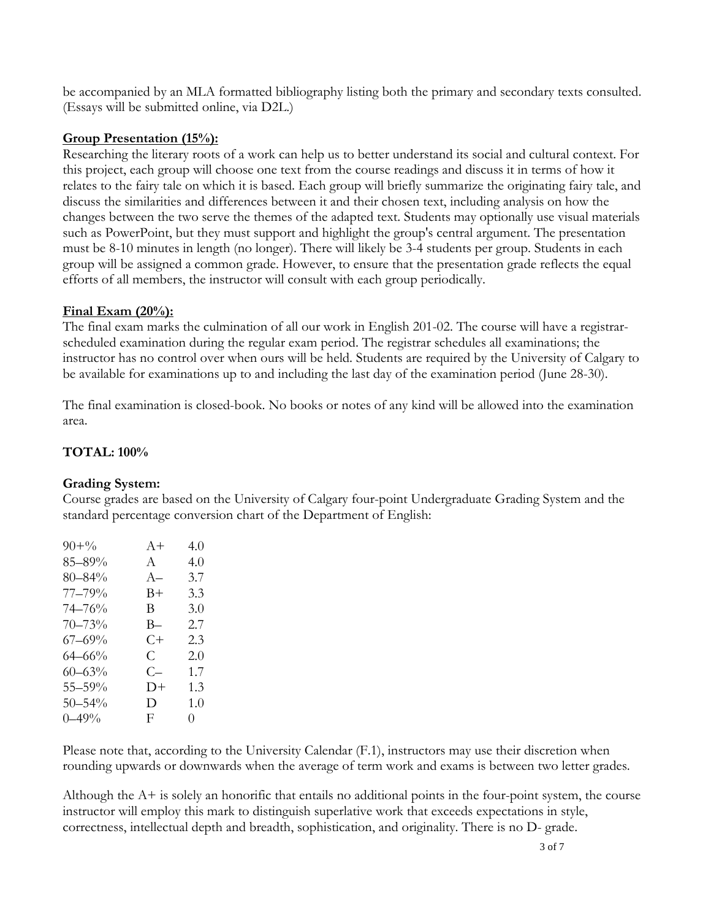be accompanied by an MLA formatted bibliography listing both the primary and secondary texts consulted. (Essays will be submitted online, via D2L.)

### **Group Presentation (15%):**

Researching the literary roots of a work can help us to better understand its social and cultural context. For this project, each group will choose one text from the course readings and discuss it in terms of how it relates to the fairy tale on which it is based. Each group will briefly summarize the originating fairy tale, and discuss the similarities and differences between it and their chosen text, including analysis on how the changes between the two serve the themes of the adapted text. Students may optionally use visual materials such as PowerPoint, but they must support and highlight the group's central argument. The presentation must be 8-10 minutes in length (no longer). There will likely be 3-4 students per group. Students in each group will be assigned a common grade. However, to ensure that the presentation grade reflects the equal efforts of all members, the instructor will consult with each group periodically.

# **Final Exam (20%):**

The final exam marks the culmination of all our work in English 201-02. The course will have a registrarscheduled examination during the regular exam period. The registrar schedules all examinations; the instructor has no control over when ours will be held. Students are required by the University of Calgary to be available for examinations up to and including the last day of the examination period (June 28-30).

The final examination is closed-book. No books or notes of any kind will be allowed into the examination area.

# **TOTAL: 100%**

### **Grading System:**

Course grades are based on the University of Calgary four-point Undergraduate Grading System and the standard percentage conversion chart of the Department of English:

| $90 + \frac{6}{6}$ | $A +$        | 4() |
|--------------------|--------------|-----|
| 85–89%             | $\mathbf{A}$ | 4.0 |
| $80 - 84\%$        | $A-$         | 3.7 |
| $77 - 79\%$        | B+           | 3.3 |
| 74–76%             | B.           | 3.0 |
| $70 - 73%$         | B—           | 2.7 |
| $67 - 69\%$        | C+           | 2.3 |
| $64 - 66%$         | C.           | 2.0 |
| $60 - 63\%$        | C—           | 1.7 |
| $55 - 59\%$        | D+           | 1.3 |
| $50 - 54\%$        | D            | 1.0 |
| $0 - 49\%$         | F            | 0   |

Please note that, according to the University Calendar (F.1), instructors may use their discretion when rounding upwards or downwards when the average of term work and exams is between two letter grades.

Although the A+ is solely an honorific that entails no additional points in the four-point system, the course instructor will employ this mark to distinguish superlative work that exceeds expectations in style, correctness, intellectual depth and breadth, sophistication, and originality. There is no D- grade.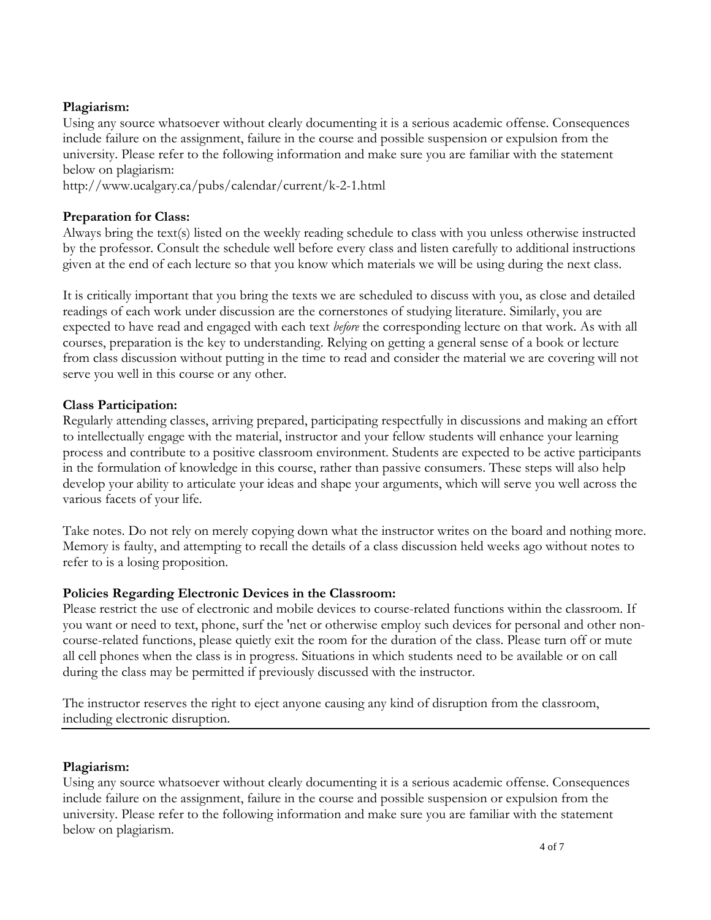### **Plagiarism:**

Using any source whatsoever without clearly documenting it is a serious academic offense. Consequences include failure on the assignment, failure in the course and possible suspension or expulsion from the university. Please refer to the following information and make sure you are familiar with the statement below on plagiarism:

http://www.ucalgary.ca/pubs/calendar/current/k-2-1.html

# **Preparation for Class:**

Always bring the text(s) listed on the weekly reading schedule to class with you unless otherwise instructed by the professor. Consult the schedule well before every class and listen carefully to additional instructions given at the end of each lecture so that you know which materials we will be using during the next class.

It is critically important that you bring the texts we are scheduled to discuss with you, as close and detailed readings of each work under discussion are the cornerstones of studying literature. Similarly, you are expected to have read and engaged with each text *before* the corresponding lecture on that work. As with all courses, preparation is the key to understanding. Relying on getting a general sense of a book or lecture from class discussion without putting in the time to read and consider the material we are covering will not serve you well in this course or any other.

# **Class Participation:**

Regularly attending classes, arriving prepared, participating respectfully in discussions and making an effort to intellectually engage with the material, instructor and your fellow students will enhance your learning process and contribute to a positive classroom environment. Students are expected to be active participants in the formulation of knowledge in this course, rather than passive consumers. These steps will also help develop your ability to articulate your ideas and shape your arguments, which will serve you well across the various facets of your life.

Take notes. Do not rely on merely copying down what the instructor writes on the board and nothing more. Memory is faulty, and attempting to recall the details of a class discussion held weeks ago without notes to refer to is a losing proposition.

# **Policies Regarding Electronic Devices in the Classroom:**

Please restrict the use of electronic and mobile devices to course-related functions within the classroom. If you want or need to text, phone, surf the 'net or otherwise employ such devices for personal and other noncourse-related functions, please quietly exit the room for the duration of the class. Please turn off or mute all cell phones when the class is in progress. Situations in which students need to be available or on call during the class may be permitted if previously discussed with the instructor.

The instructor reserves the right to eject anyone causing any kind of disruption from the classroom, including electronic disruption.

# **Plagiarism:**

Using any source whatsoever without clearly documenting it is a serious academic offense. Consequences include failure on the assignment, failure in the course and possible suspension or expulsion from the university. Please refer to the following information and make sure you are familiar with the statement below on plagiarism.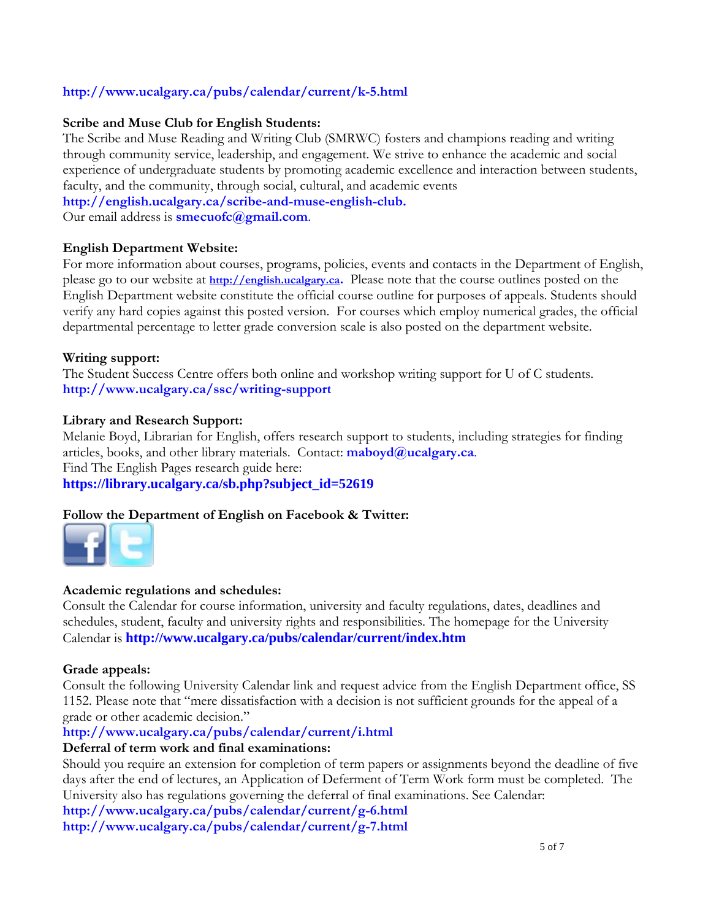## **<http://www.ucalgary.ca/pubs/calendar/current/k-5.html>**

#### **Scribe and Muse Club for English Students:**

The Scribe and Muse Reading and Writing Club (SMRWC) fosters and champions reading and writing through community service, leadership, and engagement. We strive to enhance the academic and social experience of undergraduate students by promoting academic excellence and interaction between students, faculty, and the community, through social, cultural, and academic events

**[http://english.ucalgary.ca/scribe-and-muse-english-club.](http://english.ucalgary.ca/scribe-and-muse-english-club)**

Our email address is **[smecuofc@gmail.com](mailto:smecuofc@gmail.com)**.

#### **English Department Website:**

For more information about courses, programs, policies, events and contacts in the Department of English, please go to our website at **[http://english.ucalgary.ca.](http://english.ucalgary.ca/)** Please note that the course outlines posted on the English Department website constitute the official course outline for purposes of appeals. Students should verify any hard copies against this posted version. For courses which employ numerical grades, the official departmental percentage to letter grade conversion scale is also posted on the department website.

#### **Writing support:**

The Student Success Centre offers both online and workshop writing support for U of C students. **<http://www.ucalgary.ca/ssc/writing-support>**

#### **Library and Research Support:**

Melanie Boyd, Librarian for English, offers research support to students, including strategies for finding articles, books, and other library materials. Contact: **[maboyd@ucalgary.ca](mailto:maboyd@ucalgary.ca)**. Find The English Pages research guide here:

**[https://library.ucalgary.ca/sb.php?subject\\_id=52619](https://library.ucalgary.ca/sb.php?subject_id=52619)**

### **[Follow](http://www.facebook.com/UofCEnglish) [the Dep](https://twitter.com/#!/uofcenglish)artment of English on Facebook & Twitter:**



#### **Academic regulations and schedules:**

Consult the Calendar for course information, university and faculty regulations, dates, deadlines and schedules, student, faculty and university rights and responsibilities. The homepage for the University Calendar is **<http://www.ucalgary.ca/pubs/calendar/current/index.htm>**

#### **Grade appeals:**

Consult the following University Calendar link and request advice from the English Department office, SS 1152. Please note that "mere dissatisfaction with a decision is not sufficient grounds for the appeal of a grade or other academic decision."

#### **<http://www.ucalgary.ca/pubs/calendar/current/i.html>**

#### **Deferral of term work and final examinations:**

Should you require an extension for completion of term papers or assignments beyond the deadline of five days after the end of lectures, an Application of Deferment of Term Work form must be completed. The University also has regulations governing the deferral of final examinations. See Calendar:

**<http://www.ucalgary.ca/pubs/calendar/current/g-6.html> <http://www.ucalgary.ca/pubs/calendar/current/g-7.html>**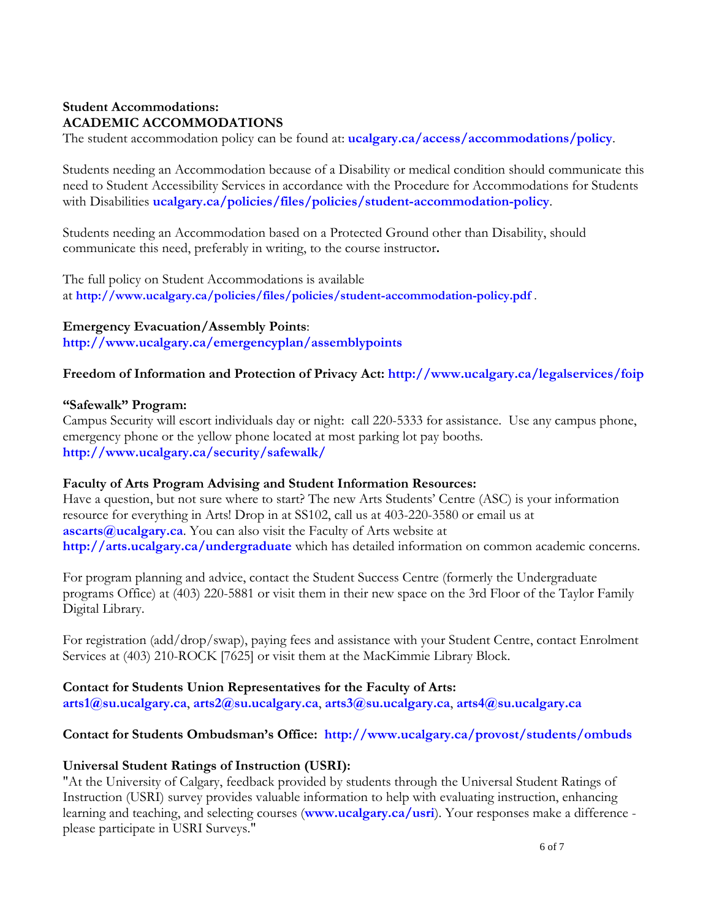## **Student Accommodations: ACADEMIC ACCOMMODATIONS**

The student accommodation policy can be found at: **[ucalgary.ca/access/accommodations/policy](http://www.ucalgary.ca/access/accommodations/policy)**.

Students needing an Accommodation because of a Disability or medical condition should communicate this need to Student Accessibility Services in accordance with the Procedure for Accommodations for Students with Disabilities **[ucalgary.ca/policies/files/policies/student-accommodation-policy](http://www.ucalgary.ca/policies/files/policies/student-accommodation-policy.pdf)**.

Students needing an Accommodation based on a Protected Ground other than Disability, should communicate this need, preferably in writing, to the course instructor**.**

The full policy on Student Accommodations is available at **<http://www.ucalgary.ca/policies/files/policies/student-accommodation-policy.pdf>** .

**Emergency Evacuation/Assembly Points**: **<http://www.ucalgary.ca/emergencyplan/assemblypoints>**

## **Freedom of Information and Protection of Privacy Act:<http://www.ucalgary.ca/legalservices/foip>**

#### **"Safewalk" Program:**

Campus Security will escort individuals day or night: call 220-5333 for assistance. Use any campus phone, emergency phone or the yellow phone located at most parking lot pay booths. **<http://www.ucalgary.ca/security/safewalk/>**

### **Faculty of Arts Program Advising and Student Information Resources:**

Have a question, but not sure where to start? The new Arts Students' Centre (ASC) is your information resource for everything in Arts! Drop in at SS102, call us at 403-220-3580 or email us at **[ascarts@ucalgary.ca](mailto:ascarts@ucalgary.ca)**. You can also visit the Faculty of Arts website at **<http://arts.ucalgary.ca/undergraduate>** which has detailed information on common academic concerns.

For program planning and advice, contact the Student Success Centre (formerly the Undergraduate programs Office) at (403) 220-5881 or visit them in their new space on the 3rd Floor of the Taylor Family Digital Library.

For registration (add/drop/swap), paying fees and assistance with your Student Centre, contact Enrolment Services at (403) 210-ROCK [7625] or visit them at the MacKimmie Library Block.

**Contact for Students Union Representatives for the Faculty of Arts: [arts1@su.ucalgary.ca](mailto:arts1@su.ucalgary.ca)**, **[arts2@su.ucalgary.ca](mailto:arts2@su.ucalgary.ca)**, **[arts3@su.ucalgary.ca](mailto:arts3@su.ucalgary.ca)**, **[arts4@su.ucalgary.ca](mailto:arts4@su.ucalgary.ca)**

### **Contact for Students Ombudsman's Office: <http://www.ucalgary.ca/provost/students/ombuds>**

### **Universal Student Ratings of Instruction (USRI):**

"At the University of Calgary, feedback provided by students through the Universal Student Ratings of Instruction (USRI) survey provides valuable information to help with evaluating instruction, enhancing learning and teaching, and selecting courses (**[www.ucalgary.ca/usri](http://www.ucalgary.ca/usri)**). Your responses make a difference please participate in USRI Surveys."